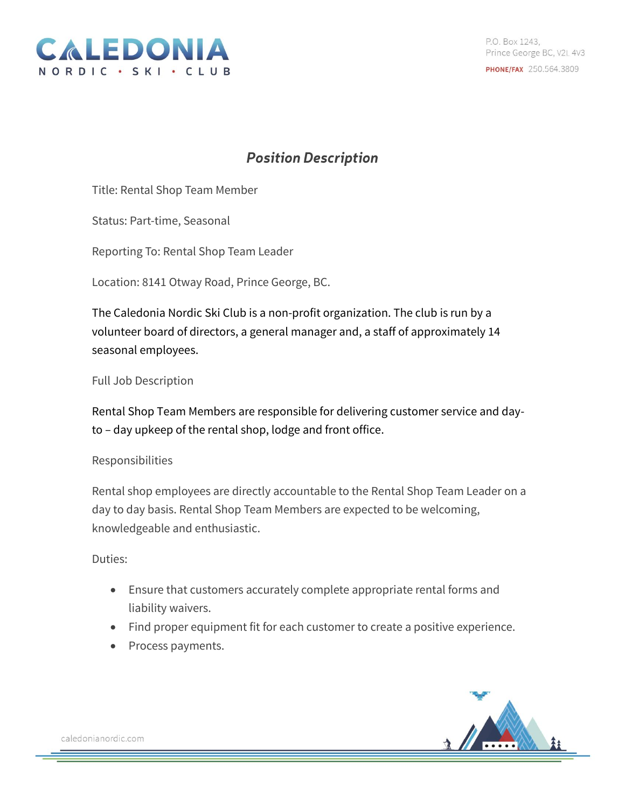

## **Position Description**

Title: Rental Shop Team Member

Status: Part-time, Seasonal

Reporting To: Rental Shop Team Leader

Location: 8141 Otway Road, Prince George, BC.

The Caledonia Nordic Ski Club is a non-profit organization. The club is run by a volunteer board of directors, a general manager and, a staff of approximately 14 seasonal employees.

Full Job Description

Rental Shop Team Members are responsible for delivering customer service and dayto – day upkeep of the rental shop, lodge and front office.

## Responsibilities

Rental shop employees are directly accountable to the Rental Shop Team Leader on a day to day basis. Rental Shop Team Members are expected to be welcoming, knowledgeable and enthusiastic.

## Duties:

- Ensure that customers accurately complete appropriate rental forms and liability waivers.
- Find proper equipment fit for each customer to create a positive experience.
- Process payments.



caledonianordic.com